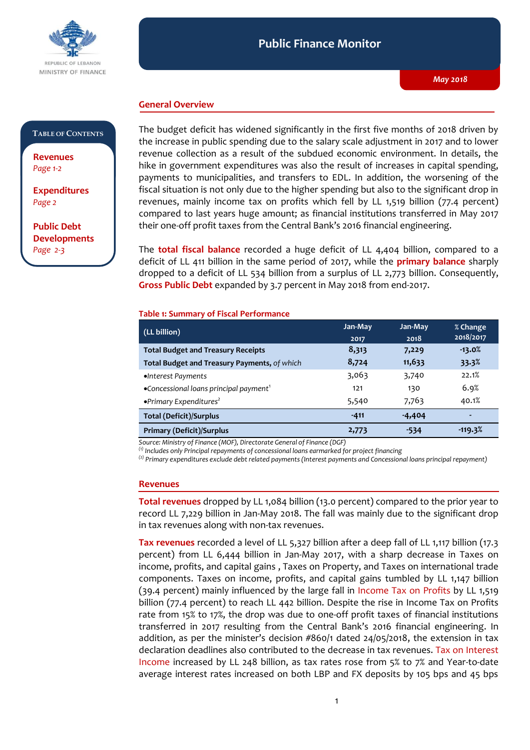

#### **Public Finance Monitor** *May 2018* **Public Finance Monitor**

## **General Overview**

### **TABLE OF CONTENTS**

**Revenues**  *Page 1-2*

**Expenditures**  *Page 2* 

**Public Debt Developments** *Page 2-3*

The budget deficit has widened significantly in the first five months of 2018 driven by the increase in public spending due to the salary scale adjustment in 2017 and to lower revenue collection as a result of the subdued economic environment. In details, the hike in government expenditures was also the result of increases in capital spending, payments to municipalities, and transfers to EDL. In addition, the worsening of the fiscal situation is not only due to the higher spending but also to the significant drop in revenues, mainly income tax on profits which fell by LL 1,519 billion (77.4 percent) compared to last years huge amount; as financial institutions transferred in May 2017 their one-off profit taxes from the Central Bank's 2016 financial engineering.

The **total fiscal balance** recorded a huge deficit of LL 4,404 billion, compared to a deficit of LL 411 billion in the same period of 2017, while the **primary balance** sharply dropped to a deficit of LL 534 billion from a surplus of LL 2,773 billion. Consequently, **Gross Public Debt** expanded by 3.7 percent in May 2018 from end-2017.

#### **Table 1: Summary of Fiscal Performance**

| $(LL\text{ billion})$                              | Jan-May | Jan-May  | % Change<br>2018/2017    |
|----------------------------------------------------|---------|----------|--------------------------|
|                                                    | 2017    | 2018     |                          |
| <b>Total Budget and Treasury Receipts</b>          | 8,313   | 7,229    | $-13.0%$                 |
| Total Budget and Treasury Payments, of which       | 8,724   | 11,633   | 33.3%                    |
| •Interest Payments                                 | 3,063   | 3,740    | 22.1%                    |
| •Concessional loans principal payment <sup>1</sup> | 121     | 130      | 6.9%                     |
| • Primary Expenditures <sup>2</sup>                | 5,540   | 7,763    | 40.1%                    |
| <b>Total (Deficit)/Surplus</b>                     | $-411$  | $-4,404$ | $\overline{\phantom{0}}$ |
| <b>Primary (Deficit)/Surplus</b>                   | 2,773   | -534     | $-119.3%$                |

*Source: Ministry of Finance (MOF), Directorate General of Finance (DGF)*

*(1) Includes only Principal repayments of concessional loans earmarked for project financing*

*(2) Primary expenditures exclude debt related payments (Interest payments and Concessional loans principal repayment)*

#### **Revenues**

**Total revenues** dropped by LL 1,084 billion (13.0 percent) compared to the prior year to record LL 7,229 billion in Jan-May 2018. The fall was mainly due to the significant drop in tax revenues along with non-tax revenues.

**Tax revenues** recorded a level of LL 5,327 billion after a deep fall of LL 1,117 billion (17.3 percent) from LL 6,444 billion in Jan-May 2017, with a sharp decrease in Taxes on income, profits, and capital gains , Taxes on Property, and Taxes on international trade components. Taxes on income, profits, and capital gains tumbled by LL 1,147 billion (39.4 percent) mainly influenced by the large fall in Income Tax on Profits by LL 1,519 billion (77.4 percent) to reach LL 442 billion. Despite the rise in Income Tax on Profits rate from 15% to 17%, the drop was due to one-off profit taxes of financial institutions transferred in 2017 resulting from the Central Bank's 2016 financial engineering. In addition, as per the minister's decision #860/1 dated 24/05/2018, the extension in tax declaration deadlines also contributed to the decrease in tax revenues. Tax on Interest Income increased by LL 248 billion, as tax rates rose from 5% to 7% and Year-to-date average interest rates increased on both LBP and FX deposits by 105 bps and 45 bps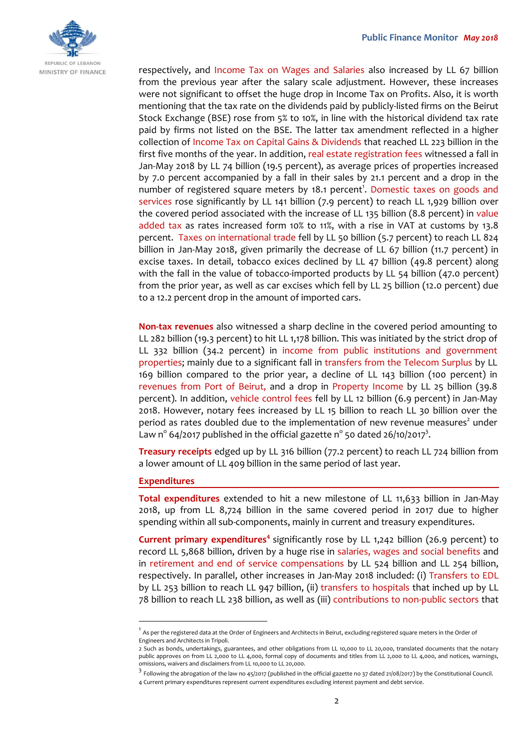

respectively, and Income Tax on Wages and Salaries also increased by LL 67 billion from the previous year after the salary scale adjustment. However, these increases were not significant to offset the huge drop in Income Tax on Profits. Also, it is worth mentioning that the tax rate on the dividends paid by publicly-listed firms on the Beirut Stock Exchange (BSE) rose from 5% to 10%, in line with the historical dividend tax rate paid by firms not listed on the BSE. The latter tax amendment reflected in a higher collection of Income Tax on Capital Gains & Dividends that reached LL 223 billion in the first five months of the year. In addition, real estate registration fees witnessed a fall in Jan-May 2018 by LL 74 billion (19.5 percent), as average prices of properties increased by 7.0 percent accompanied by a fall in their sales by 21.1 percent and a drop in the number of registered square meters by 18.1 percent<sup>1</sup>. Domestic taxes on goods and services rose significantly by LL 141 billion (7.9 percent) to reach LL 1,929 billion over the covered period associated with the increase of LL 135 billion (8.8 percent) in value added tax as rates increased form 10% to 11%, with a rise in VAT at customs by 13.8 percent. Taxes on international trade fell by LL 50 billion (5.7 percent) to reach LL 824 billion in Jan-May 2018, given primarily the decrease of LL 67 billion (11.7 percent) in excise taxes. In detail, tobacco exices declined by LL 47 billion (49.8 percent) along with the fall in the value of tobacco-imported products by LL 54 billion (47.0 percent) from the prior year, as well as car excises which fell by LL 25 billion (12.0 percent) due to a 12.2 percent drop in the amount of imported cars.

**Non-tax revenues** also witnessed a sharp decline in the covered period amounting to LL 282 billion (19.3 percent) to hit LL 1,178 billion. This was initiated by the strict drop of LL 332 billion (34.2 percent) in income from public institutions and government properties; mainly due to a significant fall in transfers from the Telecom Surplus by LL 169 billion compared to the prior year, a decline of LL 143 billion (100 percent) in revenues from Port of Beirut, and a drop in Property Income by LL 25 billion (39.8 percent). In addition, vehicle control fees fell by LL 12 billion (6.9 percent) in Jan-May 2018. However, notary fees increased by LL 15 billion to reach LL 30 billion over the period as rates doubled due to the implementation of new revenue measures<sup>2</sup> under Law n<sup>o</sup> 64/2017 published in the official gazette n<sup>o</sup> 50 dated 26/10/2017<sup>3</sup>.

**Treasury receipts** edged up by LL 316 billion (77.2 percent) to reach LL 724 billion from a lower amount of LL 409 billion in the same period of last year.

### **Expenditures**

-

**Total expenditures** extended to hit a new milestone of LL 11,633 billion in Jan-May 2018, up from LL 8,724 billion in the same covered period in 2017 due to higher spending within all sub-components, mainly in current and treasury expenditures.

**Current primary expenditures<sup>4</sup>** significantly rose by LL 1,242 billion (26.9 percent) to record LL 5,868 billion, driven by a huge rise in salaries, wages and social benefits and in retirement and end of service compensations by LL 524 billion and LL 254 billion, respectively. In parallel, other increases in Jan-May 2018 included: (i) Transfers to EDL by LL 253 billion to reach LL 947 billion, (ii) transfers to hospitals that inched up by LL 78 billion to reach LL 238 billion, as well as (iii) contributions to non-public sectors that

<sup>&</sup>lt;sup>1</sup> As per the registered data at the Order of Engineers and Architects in Beirut, excluding registered square meters in the Order of Engineers and Architects in Tripoli.

<sup>2</sup> Such as bonds, undertakings, guarantees, and other obligations from LL 10,000 to LL 20,000, translated documents that the notary public approves on from LL 2,000 to LL 4,000, formal copy of documents and titles from LL 2,000 to LL 4,000, and notices, warnings, omissions, waivers and disclaimers from LL 10,000 to LL 20,000.

 $^3$  Following the abrogation of the law no 45/2017 (published in the official gazette no 37 dated 21/08/2017) by the Constitutional Council.

<sup>4</sup> Current primary expenditures represent current expenditures excluding interest payment and debt service.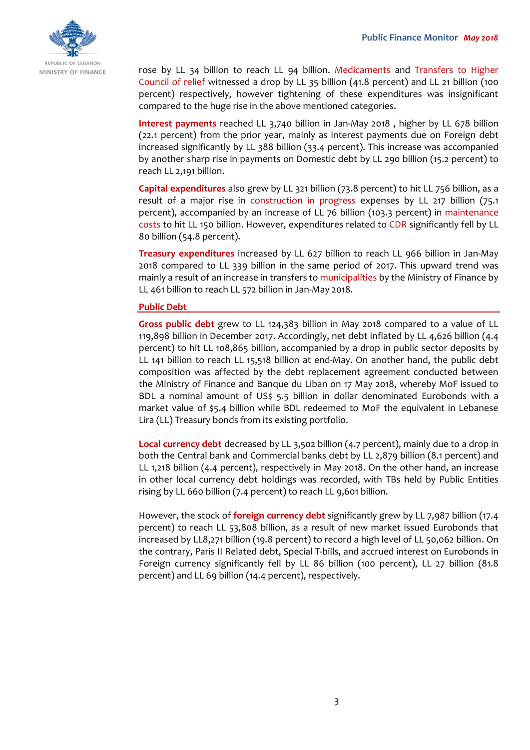

rose by LL 34 billion to reach LL 94 billion. Medicaments and Transfers to Higher Council of relief witnessed a drop by LL 35 billion (41.8 percent) and LL 21 billion (100 percent) respectively, however tightening of these expenditures was insignificant compared to the huge rise in the above mentioned categories.

**Interest payments** reached LL 3,740 billion in Jan-May 2018 , higher by LL 678 billion (22.1 percent) from the prior year, mainly as interest payments due on Foreign debt increased significantly by LL 388 billion (33.4 percent). This increase was accompanied by another sharp rise in payments on Domestic debt by LL 290 billion (15.2 percent) to reach LL 2,191 billion.

**Capital expenditures** also grew by LL 321 billion (73.8 percent) to hit LL 756 billion, as a result of a major rise in construction in progress expenses by LL 217 billion (75.1 percent), accompanied by an increase of LL 76 billion (103.3 percent) in maintenance costs to hit LL 150 billion. However, expenditures related to CDR significantly fell by LL 80 billion (54.8 percent).

**Treasury expenditures** increased by LL 627 billion to reach LL 966 billion in Jan-May 2018 compared to LL 339 billion in the same period of 2017. This upward trend was mainly a result of an increase in transfers to municipalities by the Ministry of Finance by LL 461 billion to reach LL 572 billion in Jan-May 2018.

## **Public Debt**

**Gross public debt** grew to LL 124,383 billion in May 2018 compared to a value of LL 119,898 billion in December 2017. Accordingly, net debt inflated by LL 4,626 billion (4.4 percent) to hit LL 108,865 billion, accompanied by a drop in public sector deposits by LL 141 billion to reach LL 15,518 billion at end-May. On another hand, the public debt composition was affected by the debt replacement agreement conducted between the Ministry of Finance and Banque du Liban on 17 May 2018, whereby MoF issued to BDL a nominal amount of US\$ 5.5 billion in dollar denominated Eurobonds with a market value of \$5.4 billion while BDL redeemed to MoF the equivalent in Lebanese Lira (LL) Treasury bonds from its existing portfolio.

**Local currency debt** decreased by LL 3,502 billion (4.7 percent), mainly due to a drop in both the Central bank and Commercial banks debt by LL 2,879 billion (8.1 percent) and LL 1,218 billion (4.4 percent), respectively in May 2018. On the other hand, an increase in other local currency debt holdings was recorded, with TBs held by Public Entities rising by LL 660 billion (7.4 percent) to reach LL 9,601 billion.

However, the stock of **foreign currency debt** significantly grew by LL 7,987 billion (17.4 percent) to reach LL 53,808 billion, as a result of new market issued Eurobonds that increased by LL8,271 billion (19.8 percent) to record a high level of LL 50,062 billion. On the contrary, Paris II Related debt, Special T-bills, and accrued interest on Eurobonds in Foreign currency significantly fell by LL 86 billion (100 percent), LL 27 billion (81.8 percent) and LL 69 billion (14.4 percent), respectively.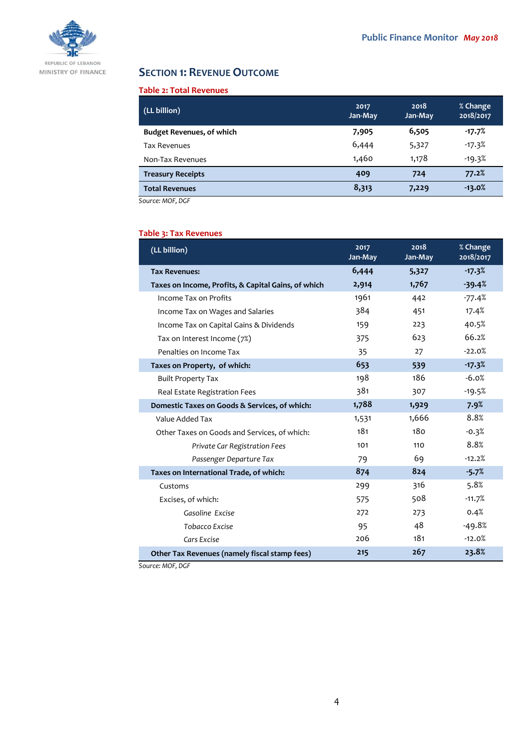

# **SECTION 1: REVENUE OUTCOME**

## **Table 2: Total Revenues**

| (LL billion)                     | 2017<br>Jan-May | 2018<br>Jan-May | % Change<br>2018/2017 |
|----------------------------------|-----------------|-----------------|-----------------------|
| <b>Budget Revenues, of which</b> | 7,905           | 6,505           | $-17.7%$              |
| <b>Tax Revenues</b>              | 6,444           | 5,327           | $-17.3%$              |
| Non-Tax Revenues                 | 1,460           | 1,178           | $-19.3%$              |
| <b>Treasury Receipts</b>         | 409             | 724             | 77.2%                 |
| <b>Total Revenues</b>            | 8,313           | 7,229           | $-13.0%$              |

*Source: MOF, DGF*

## **Table 3: Tax Revenues**

| (LL billion)                                        | 2017<br>Jan-May | 2018<br>Jan-May | % Change<br>2018/2017 |
|-----------------------------------------------------|-----------------|-----------------|-----------------------|
| <b>Tax Revenues:</b>                                | 6,444           | 5,327           | $-17.3%$              |
| Taxes on Income, Profits, & Capital Gains, of which | 2,914           | 1,767           | $-39.4%$              |
| Income Tax on Profits                               | 1961            | 442             | $-77.4%$              |
| Income Tax on Wages and Salaries                    | 384             | 451             | 17.4%                 |
| Income Tax on Capital Gains & Dividends             | 159             | 223             | 40.5%                 |
| Tax on Interest Income (7%)                         | 375             | 623             | 66.2%                 |
| Penalties on Income Tax                             | 35              | 27              | $-22.0%$              |
| Taxes on Property, of which:                        | 653             | 539             | $-17.3%$              |
| <b>Built Property Tax</b>                           | 198             | 186             | $-6.0%$               |
| Real Estate Registration Fees                       | 381             | 307             | $-19.5%$              |
| Domestic Taxes on Goods & Services, of which:       | 1,788           | 1,929           | 7.9%                  |
| Value Added Tax                                     | 1,531           | 1,666           | 8.8%                  |
| Other Taxes on Goods and Services, of which:        | 181             | 180             | $-0.3%$               |
| Private Car Registration Fees                       | 101             | 110             | 8.8%                  |
| Passenger Departure Tax                             | 79              | 69              | $-12.2%$              |
| Taxes on International Trade, of which:             | 874             | 824             | $-5.7%$               |
| Customs                                             | 299             | 316             | 5.8%                  |
| Excises, of which:                                  | 575             | 508             | $-11.7%$              |
| Gasoline Excise                                     | 272             | 273             | 0.4%                  |
| Tobacco Excise                                      | 95              | 48              | $-49.8%$              |
| Cars Excise                                         | 206             | 181             | $-12.0%$              |
| Other Tax Revenues (namely fiscal stamp fees)       | 215             | 267             | 23.8%                 |

*Source: MOF, DGF*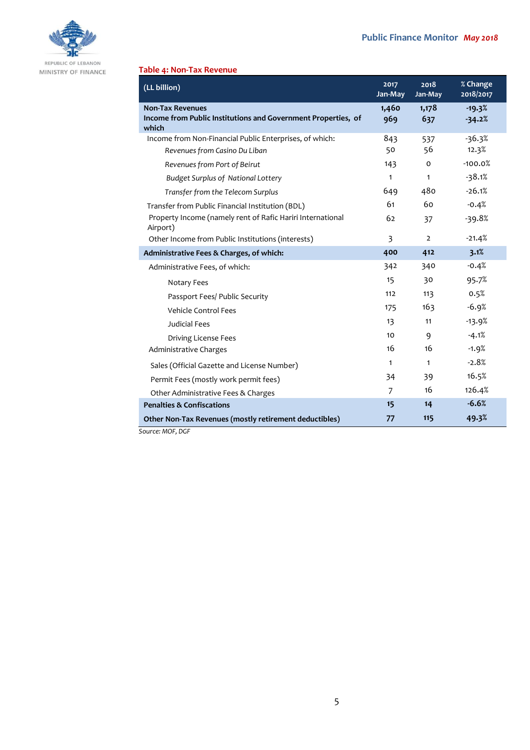

#### REPUBLIC OF LEBANON MINISTRY OF FINANCE

## **Table 4: Non-Tax Revenue**

| (LL billion)                                                                                      | 2017<br>Jan-May         | 2018<br>Jan-May | % Change<br>2018/2017 |
|---------------------------------------------------------------------------------------------------|-------------------------|-----------------|-----------------------|
| <b>Non-Tax Revenues</b><br>Income from Public Institutions and Government Properties, of<br>which | 1,460<br>969            | 1,178<br>637    | $-19.3%$<br>$-34.2%$  |
| Income from Non-Financial Public Enterprises, of which:                                           | 843                     | 537             | $-36.3%$              |
| Revenues from Casino Du Liban                                                                     | 50                      | 56              | 12.3%                 |
| Revenues from Port of Beirut                                                                      | 143                     | 0               | $-100.0%$             |
| <b>Budget Surplus of National Lottery</b>                                                         | $\mathbf{1}$            | $\mathbf{1}$    | $-38.1%$              |
| Transfer from the Telecom Surplus                                                                 | 649                     | 480             | $-26.1%$              |
| Transfer from Public Financial Institution (BDL)                                                  | 61                      | 60              | $-0.4%$               |
| Property Income (namely rent of Rafic Hariri International<br>Airport)                            | 62                      | 37              | $-39.8%$              |
| Other Income from Public Institutions (interests)                                                 | $\overline{\mathbf{3}}$ | $\overline{2}$  | $-21.4%$              |
| Administrative Fees & Charges, of which:                                                          | 400                     | 412             | 3.1%                  |
| Administrative Fees, of which:                                                                    | 342                     | 340             | $-0.4%$               |
| Notary Fees                                                                                       | 15                      | 30              | 95.7%                 |
| Passport Fees/ Public Security                                                                    | 112                     | 113             | 0.5%                  |
| <b>Vehicle Control Fees</b>                                                                       | 175                     | 163             | $-6.9%$               |
| Judicial Fees                                                                                     | 13                      | 11              | $-13.9%$              |
| Driving License Fees                                                                              | 10                      | 9               | $-4.1%$               |
| Administrative Charges                                                                            | 16                      | 16              | $-1.9%$               |
| Sales (Official Gazette and License Number)                                                       | $\mathbf{1}$            | $\mathbf{1}$    | $-2.8%$               |
| Permit Fees (mostly work permit fees)                                                             | 34                      | 39              | 16.5%                 |
| Other Administrative Fees & Charges                                                               | 7                       | 16              | 126.4%                |
| <b>Penalties &amp; Confiscations</b>                                                              | 15                      | 14              | $-6.6%$               |
| Other Non-Tax Revenues (mostly retirement deductibles)<br>$C_{\text{outcon}} M \cap F \cap C F$   | 77                      | 115             | 49.3%                 |

*Source: MOF, DGF*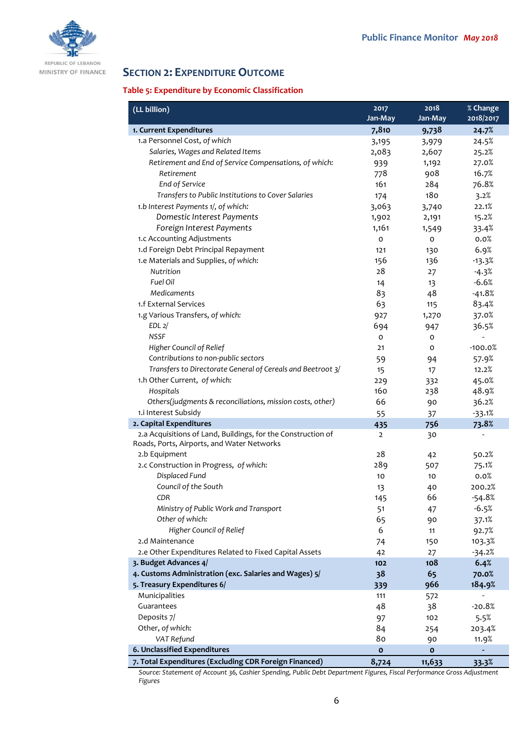

MINISTRY OF FINANCE

# **SECTION 2: EXPENDITURE OUTCOME**

## **Table 5: Expenditure by Economic Classification**

| (LL billion)                                                 | 2017<br>Jan-May | 2018<br>Jan-May | % Change<br>2018/2017 |
|--------------------------------------------------------------|-----------------|-----------------|-----------------------|
| 1. Current Expenditures                                      | 7,810           | 9,738           | 24.7%                 |
| 1.a Personnel Cost, of which                                 | 3,195           | 3,979           | 24.5%                 |
| Salaries, Wages and Related Items                            | 2,083           | 2,607           | 25.2%                 |
| Retirement and End of Service Compensations, of which:       | 939             | 1,192           | 27.0%                 |
| Retirement                                                   | 778             | 908             | 16.7%                 |
| End of Service                                               | 161             | 284             | 76.8%                 |
| Transfers to Public Institutions to Cover Salaries           | 174             | 180             | 3.2%                  |
| 1.b Interest Payments 1/, of which:                          | 3,063           | 3,740           | 22.1%                 |
| Domestic Interest Payments                                   | 1,902           | 2,191           | 15.2%                 |
| Foreign Interest Payments                                    | 1,161           | 1,549           | 33.4%                 |
| 1.c Accounting Adjustments                                   | $\circ$         | O               | 0.0%                  |
| 1.d Foreign Debt Principal Repayment                         | 121             | 130             | 6.9%                  |
| 1.e Materials and Supplies, of which:                        | 156             | 136             | $-13.3%$              |
| Nutrition                                                    | 28              | 27              | $-4.3%$               |
| Fuel Oil                                                     | 14              | 13              | $-6.6%$               |
| Medicaments                                                  | 83              | 48              | $-41.8%$              |
| 1.f External Services                                        | 63              | 115             | 83.4%                 |
| 1.g Various Transfers, of which:                             | 927             | 1,270           | 37.0%                 |
| EDL <sub>2</sub> /                                           | 694             | 947             | 36.5%                 |
| <b>NSSF</b>                                                  | O               | $\mathbf 0$     |                       |
| Higher Council of Relief                                     | 21              | 0               | $-100.0%$             |
| Contributions to non-public sectors                          | 59              | 94              | 57.9%                 |
| Transfers to Directorate General of Cereals and Beetroot 3/  | 15              | 17              | 12.2%                 |
| 1.h Other Current, of which:                                 | 229             | 332             | 45.0%                 |
| Hospitals                                                    | 160             | 238             | 48.9%                 |
| Others(judgments & reconciliations, mission costs, other)    | 66              | 90              | 36.2%                 |
| 1.i Interest Subsidy                                         |                 |                 | $-33.1%$              |
| 2. Capital Expenditures                                      | 55<br>435       | 37<br>756       | 73.8%                 |
| 2.a Acquisitions of Land, Buildings, for the Construction of | $\overline{2}$  | 30              |                       |
| Roads, Ports, Airports, and Water Networks                   |                 |                 |                       |
| 2.b Equipment                                                | 28              | 42              | 50.2%                 |
| 2.c Construction in Progress, of which:                      | 289             | 507             | 75.1%                 |
| Displaced Fund                                               | 10              | 10              | 0.0%                  |
| Council of the South                                         | 13              | 40              | 200.2%                |
| CDR                                                          | 145             | 66              | $-54.8%$              |
| Ministry of Public Work and Transport                        | 51              | 47              | $-6.5%$               |
| Other of which:                                              | 65              | 90              | 37.1%                 |
| Higher Council of Relief                                     | 6               | 11              | 92.7%                 |
| 2.d Maintenance                                              | 74              | 150             | 103.3%                |
| 2.e Other Expenditures Related to Fixed Capital Assets       | 42              | 27              | $-34.2%$              |
| 3. Budget Advances 4/                                        | 102             | 108             | 6.4%                  |
| 4. Customs Administration (exc. Salaries and Wages) 5/       | 38              | 65              | 70.0%                 |
| 5. Treasury Expenditures 6/                                  | 339             | 966             | 184.9%                |
| Municipalities                                               | 111             | 572             |                       |
| Guarantees                                                   | 48              | 38              | $-20.8%$              |
| Deposits 7/                                                  | 97              | 102             | 5.5%                  |
| Other, of which:                                             | 84              | 254             | 203.4%                |
| VAT Refund                                                   | 80              | 90              | 11.9%                 |
| 6. Unclassified Expenditures                                 | $\mathbf{o}$    | $\mathbf{o}$    |                       |
| 7. Total Expenditures (Excluding CDR Foreign Financed)       | 8,724           | 11,633          | 33.3%                 |

*Source: Statement of Account 36, Cashier Spending, Public Debt Department Figures, Fiscal Performance Gross Adjustment Figures*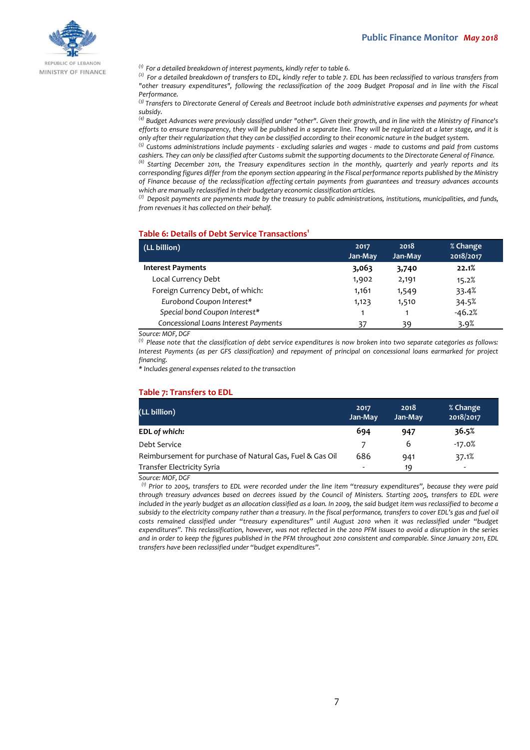

MINISTRY OF FINANCE

*(1) For a detailed breakdown of interest payments, kindly refer to table 6.*

*(2) For a detailed breakdown of transfers to EDL, kindly refer to table 7. EDL has been reclassified to various transfers from "other treasury expenditures", following the reclassification of the 2009 Budget Proposal and in line with the Fiscal Performance.*

*(3) Transfers to Directorate General of Cereals and Beetroot include both administrative expenses and payments for wheat subsidy.*

*(4) Budget Advances were previously classified under "other". Given their growth, and in line with the Ministry of Finance's efforts to ensure transparency, they will be published in a separate line. They will be regularized at a later stage, and it is only after their regularization that they can be classified according to their economic nature in the budget system.*

*(5) Customs administrations include payments - excluding salaries and wages - made to customs and paid from customs cashiers. They can only be classified after Customs submit the supporting documents to the Directorate General of Finance. (6) Starting December 2011, the Treasury expenditures section in the monthly, quarterly and yearly reports and its corresponding figures differ from the eponym section appearing in the Fiscal performance reports published by the Ministry of Finance because of the reclassification affecting certain payments from guarantees and treasury advances accounts* 

*which are manually reclassified in their budgetary economic classification articles.*

*(7) Deposit payments are payments made by the treasury to public administrations, institutions, municipalities, and funds, from revenues it has collected on their behalf.*

#### **Table 6: Details of Debt Service Transactions<sup>1</sup>**

| (LL billion)                         | 2017<br>Jan-May | 2018<br>Jan-May | % Change<br>2018/2017 |
|--------------------------------------|-----------------|-----------------|-----------------------|
| <b>Interest Payments</b>             | 3.063           | 3,740           | 22.1%                 |
| Local Currency Debt                  | 1,902           | 2,191           | 15.2%                 |
| Foreign Currency Debt, of which:     | 1,161           | 1,549           | 33.4%                 |
| Eurobond Coupon Interest*            | 1,123           | 1,510           | 34.5%                 |
| Special bond Coupon Interest*        | 1               |                 | $-46.2%$              |
| Concessional Loans Interest Payments | 37              | 39              | 3.9%                  |

#### *Source: MOF, DGF*

*(1) Please note that the classification of debt service expenditures is now broken into two separate categories as follows: Interest Payments (as per GFS classification) and repayment of principal on concessional loans earmarked for project financing.*

*\* Includes general expenses related to the transaction*

#### **Table 7: Transfers to EDL**

| (LL billion)                                              | 2017<br>Jan-May | 2018<br>Jan-May | % Change<br>2018/2017 |
|-----------------------------------------------------------|-----------------|-----------------|-----------------------|
| EDL of which:                                             | 694             | 947             | 36.5%                 |
| Debt Service                                              |                 | 6               | $-17.0%$              |
| Reimbursement for purchase of Natural Gas, Fuel & Gas Oil | 686             | 941             | 37.1%                 |
| <b>Transfer Electricity Syria</b>                         | -               | 19              | ۰                     |

*Source: MOF, DGF*

*(1) Prior to 2005, transfers to EDL were recorded under the line item "treasury expenditures", because they were paid through treasury advances based on decrees issued by the Council of Ministers. Starting 2005, transfers to EDL were included in the yearly budget as an allocation classified as a loan. In 2009, the said budget item was reclassified to become a subsidy to the electricity company rather than a treasury. In the fiscal performance, transfers to cover EDL's gas and fuel oil costs remained classified under "treasury expenditures" until August 2010 when it was reclassified under "budget expenditures". This reclassification, however, was not reflected in the 2010 PFM issues to avoid a disruption in the series and in order to keep the figures published in the PFM throughout 2010 consistent and comparable. Since January 2011, EDL transfers have been reclassified under "budget expenditures".*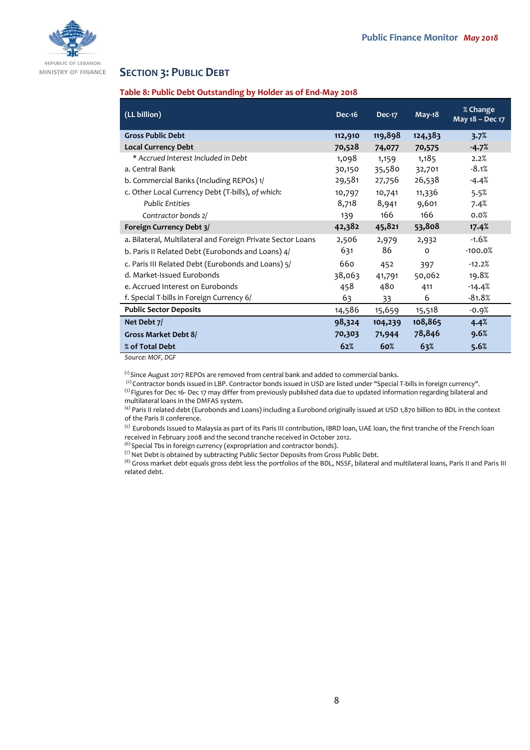

#### REPUBLIC OF LEBANON MINISTRY OF FINANCE

## **SECTION 3: PUBLIC DEBT**

## **Table 8: Public Debt Outstanding by Holder as of End-May 2018**

| (LL billion)                                                | <b>Dec-16</b> | <b>Dec-17</b> | $May-18$ | % Change<br>May 18 - Dec 17 |
|-------------------------------------------------------------|---------------|---------------|----------|-----------------------------|
| <b>Gross Public Debt</b>                                    | 112,910       | 119,898       | 124,383  | 3.7%                        |
| <b>Local Currency Debt</b>                                  | 70,528        | 74,077        | 70,575   | $-4.7%$                     |
| * Accrued Interest Included in Debt                         | 1,098         | 1,159         | 1,185    | 2.2%                        |
| a. Central Bank                                             | 30,150        | 35,580        | 32,701   | $-8.1%$                     |
| b. Commercial Banks (Including REPOs) 1/                    | 29,581        | 27,756        | 26,538   | -4.4%                       |
| c. Other Local Currency Debt (T-bills), of which:           | 10,797        | 10,741        | 11,336   | 5.5%                        |
| <b>Public Entities</b>                                      | 8,718         | 8,941         | 9,601    | 7.4%                        |
| Contractor bonds 2/                                         | 139           | 166           | 166      | 0.0%                        |
| Foreign Currency Debt 3/                                    | 42,382        | 45,821        | 53,808   | 17.4%                       |
| a. Bilateral, Multilateral and Foreign Private Sector Loans | 2,506         | 2,979         | 2,932    | $-1.6%$                     |
| b. Paris II Related Debt (Eurobonds and Loans) 4/           | 631           | 86            | $\Omega$ | $-100.0%$                   |
| c. Paris III Related Debt (Eurobonds and Loans) 5/          | 660           | 452           | 397      | $-12.2%$                    |
| d. Market-Issued Eurobonds                                  | 38,063        | 41,791        | 50,062   | 19.8%                       |
| e. Accrued Interest on Eurobonds                            | 458           | 480           | 411      | $-14.4%$                    |
| f. Special T-bills in Foreign Currency 6/                   | 63            | 33            | 6        | $-81.8%$                    |
| <b>Public Sector Deposits</b>                               | 14,586        | 15,659        | 15,518   | -0.9%                       |
| Net Debt 7/                                                 | 98,324        | 104,239       | 108,865  | 4.4%                        |
| Gross Market Debt 8/                                        | 70,303        | 71,944        | 78,846   | 9.6%                        |
| % of Total Debt                                             | 62%           | 60%           | 63%      | 5.6%                        |

*Source: MOF, DGF*

 $<sup>(1)</sup>$  Since August 2017 REPOs are removed from central bank and added to commercial banks.</sup>

<sup>(2)</sup> Contractor bonds issued in LBP. Contractor bonds issued in USD are listed under "Special T-bills in foreign currency". <sup>(3)</sup> Figures for Dec 16- Dec 17 may differ from previously published data due to updated information regarding bilateral and multilateral loans in the DMFAS system.

<sup>(4)</sup> Paris II related debt (Eurobonds and Loans) including a Eurobond originally issued at USD 1,870 billion to BDL in the context of the Paris II conference.

<sup>(5)</sup> Eurobonds Issued to Malaysia as part of its Paris III contribution, IBRD loan, UAE loan, the first tranche of the French loan received in February 2008 and the second tranche received in October 2012.

 $^{(6)}$  Special Tbs in foreign currency (expropriation and contractor bonds).

(7) Net Debt is obtained by subtracting Public Sector Deposits from Gross Public Debt.

<sup>(8)</sup> Gross market debt equals gross debt less the portfolios of the BDL, NSSF, bilateral and multilateral loans, Paris II and Paris III related debt.